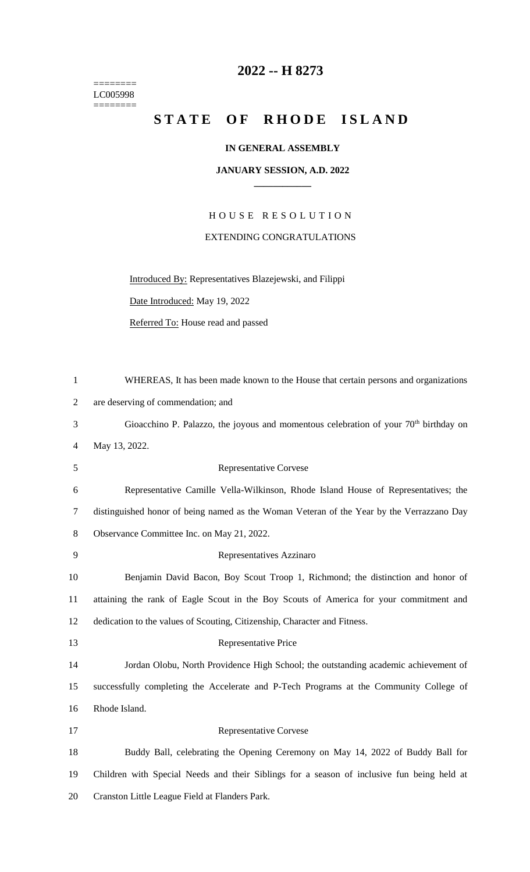======== LC005998  $=$ 

## **2022 -- H 8273**

## STATE OF RHODE ISLAND

## **IN GENERAL ASSEMBLY**

## **JANUARY SESSION, A.D. 2022 \_\_\_\_\_\_\_\_\_\_\_\_**

H O U S E R E S O L U T I O N EXTENDING CONGRATULATIONS

Introduced By: Representatives Blazejewski, and Filippi

Date Introduced: May 19, 2022

Referred To: House read and passed

| $\mathbf{1}$   | WHEREAS, It has been made known to the House that certain persons and organizations        |
|----------------|--------------------------------------------------------------------------------------------|
| $\overline{2}$ | are deserving of commendation; and                                                         |
| 3              | Gioacchino P. Palazzo, the joyous and momentous celebration of your $70th$ birthday on     |
| 4              | May 13, 2022.                                                                              |
| 5              | <b>Representative Corvese</b>                                                              |
| 6              | Representative Camille Vella-Wilkinson, Rhode Island House of Representatives; the         |
| $\tau$         | distinguished honor of being named as the Woman Veteran of the Year by the Verrazzano Day  |
| 8              | Observance Committee Inc. on May 21, 2022.                                                 |
| 9              | Representatives Azzinaro                                                                   |
| 10             | Benjamin David Bacon, Boy Scout Troop 1, Richmond; the distinction and honor of            |
| 11             | attaining the rank of Eagle Scout in the Boy Scouts of America for your commitment and     |
| 12             | dedication to the values of Scouting, Citizenship, Character and Fitness.                  |
| 13             | Representative Price                                                                       |
| 14             | Jordan Olobu, North Providence High School; the outstanding academic achievement of        |
| 15             | successfully completing the Accelerate and P-Tech Programs at the Community College of     |
| 16             | Rhode Island.                                                                              |
| 17             | <b>Representative Corvese</b>                                                              |
| 18             | Buddy Ball, celebrating the Opening Ceremony on May 14, 2022 of Buddy Ball for             |
| 19             | Children with Special Needs and their Siblings for a season of inclusive fun being held at |
| 20             | Cranston Little League Field at Flanders Park.                                             |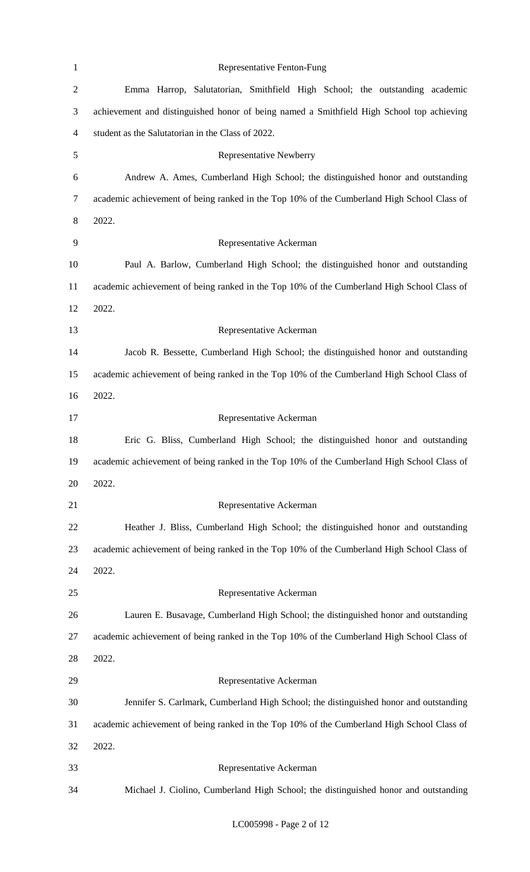| $\mathbf{1}$   | Representative Fenton-Fung                                                                 |
|----------------|--------------------------------------------------------------------------------------------|
| $\mathbf{2}$   | Emma Harrop, Salutatorian, Smithfield High School; the outstanding academic                |
| $\mathfrak{Z}$ | achievement and distinguished honor of being named a Smithfield High School top achieving  |
| $\overline{4}$ | student as the Salutatorian in the Class of 2022.                                          |
| 5              | <b>Representative Newberry</b>                                                             |
| 6              | Andrew A. Ames, Cumberland High School; the distinguished honor and outstanding            |
| $\tau$         | academic achievement of being ranked in the Top 10% of the Cumberland High School Class of |
| 8              | 2022.                                                                                      |
| 9              | Representative Ackerman                                                                    |
| 10             | Paul A. Barlow, Cumberland High School; the distinguished honor and outstanding            |
| 11             | academic achievement of being ranked in the Top 10% of the Cumberland High School Class of |
| 12             | 2022.                                                                                      |
| 13             | Representative Ackerman                                                                    |
| 14             | Jacob R. Bessette, Cumberland High School; the distinguished honor and outstanding         |
| 15             | academic achievement of being ranked in the Top 10% of the Cumberland High School Class of |
| 16             | 2022.                                                                                      |
| 17             | Representative Ackerman                                                                    |
| 18             | Eric G. Bliss, Cumberland High School; the distinguished honor and outstanding             |
| 19             | academic achievement of being ranked in the Top 10% of the Cumberland High School Class of |
| 20             | 2022.                                                                                      |
| 21             | Representative Ackerman                                                                    |
| 22             | Heather J. Bliss, Cumberland High School; the distinguished honor and outstanding          |
| 23             | academic achievement of being ranked in the Top 10% of the Cumberland High School Class of |
| 24             | 2022.                                                                                      |
| 25             | Representative Ackerman                                                                    |
| 26             | Lauren E. Busavage, Cumberland High School; the distinguished honor and outstanding        |
| 27             | academic achievement of being ranked in the Top 10% of the Cumberland High School Class of |
| 28             | 2022.                                                                                      |
| 29             | Representative Ackerman                                                                    |
| 30             | Jennifer S. Carlmark, Cumberland High School; the distinguished honor and outstanding      |
| 31             | academic achievement of being ranked in the Top 10% of the Cumberland High School Class of |
| 32             | 2022.                                                                                      |
| 33             | Representative Ackerman                                                                    |
| 34             | Michael J. Ciolino, Cumberland High School; the distinguished honor and outstanding        |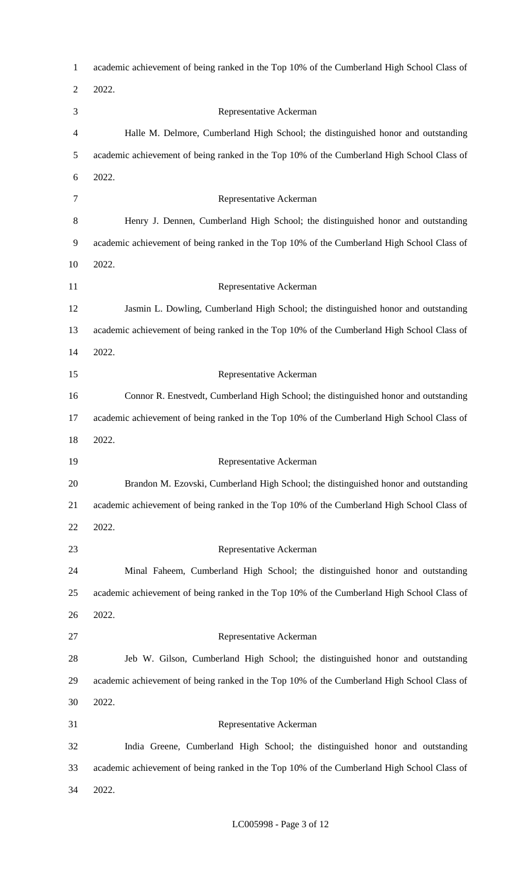| $\mathbf{1}$   | academic achievement of being ranked in the Top 10% of the Cumberland High School Class of |
|----------------|--------------------------------------------------------------------------------------------|
| $\overline{2}$ | 2022.                                                                                      |
| 3              | Representative Ackerman                                                                    |
| 4              | Halle M. Delmore, Cumberland High School; the distinguished honor and outstanding          |
| 5              | academic achievement of being ranked in the Top 10% of the Cumberland High School Class of |
| 6              | 2022.                                                                                      |
| 7              | Representative Ackerman                                                                    |
| 8              | Henry J. Dennen, Cumberland High School; the distinguished honor and outstanding           |
| 9              | academic achievement of being ranked in the Top 10% of the Cumberland High School Class of |
| 10             | 2022.                                                                                      |
| 11             | Representative Ackerman                                                                    |
| 12             | Jasmin L. Dowling, Cumberland High School; the distinguished honor and outstanding         |
| 13             | academic achievement of being ranked in the Top 10% of the Cumberland High School Class of |
| 14             | 2022.                                                                                      |
| 15             | Representative Ackerman                                                                    |
| 16             | Connor R. Enestvedt, Cumberland High School; the distinguished honor and outstanding       |
| 17             | academic achievement of being ranked in the Top 10% of the Cumberland High School Class of |
| 18             | 2022.                                                                                      |
| 19             | Representative Ackerman                                                                    |
| 20             | Brandon M. Ezovski, Cumberland High School; the distinguished honor and outstanding        |
| 21             | academic achievement of being ranked in the Top 10% of the Cumberland High School Class of |
| 22             | 2022.                                                                                      |
| 23             | Representative Ackerman                                                                    |
| 24             | Minal Faheem, Cumberland High School; the distinguished honor and outstanding              |
| 25             | academic achievement of being ranked in the Top 10% of the Cumberland High School Class of |
| 26             | 2022.                                                                                      |
| 27             | Representative Ackerman                                                                    |
| 28             | Jeb W. Gilson, Cumberland High School; the distinguished honor and outstanding             |
| 29             | academic achievement of being ranked in the Top 10% of the Cumberland High School Class of |
| 30             | 2022.                                                                                      |
| 31             | Representative Ackerman                                                                    |
| 32             | India Greene, Cumberland High School; the distinguished honor and outstanding              |
| 33             | academic achievement of being ranked in the Top 10% of the Cumberland High School Class of |
| 34             | 2022.                                                                                      |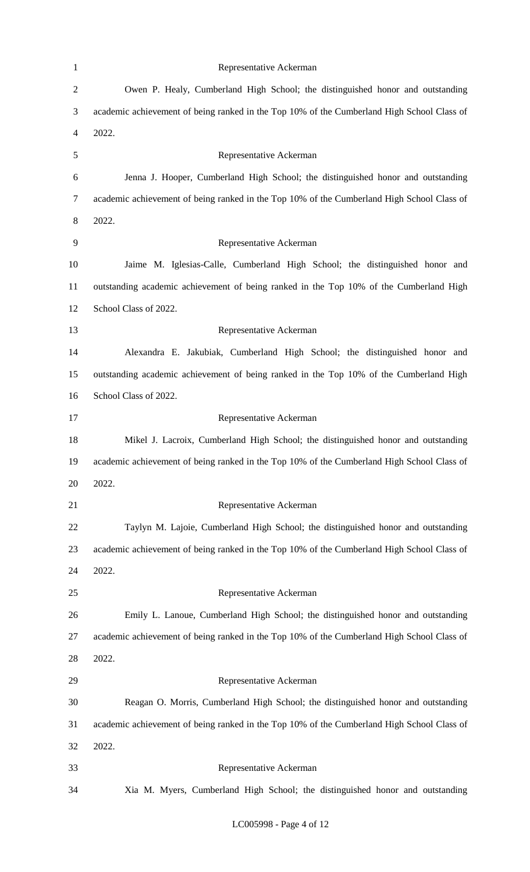| $\mathbf{1}$   | Representative Ackerman                                                                    |
|----------------|--------------------------------------------------------------------------------------------|
| $\mathbf{2}$   | Owen P. Healy, Cumberland High School; the distinguished honor and outstanding             |
| 3              | academic achievement of being ranked in the Top 10% of the Cumberland High School Class of |
| $\overline{4}$ | 2022.                                                                                      |
| 5              | Representative Ackerman                                                                    |
| 6              | Jenna J. Hooper, Cumberland High School; the distinguished honor and outstanding           |
| $\overline{7}$ | academic achievement of being ranked in the Top 10% of the Cumberland High School Class of |
| $8\,$          | 2022.                                                                                      |
| 9              | Representative Ackerman                                                                    |
| 10             | Jaime M. Iglesias-Calle, Cumberland High School; the distinguished honor and               |
| 11             | outstanding academic achievement of being ranked in the Top 10% of the Cumberland High     |
| 12             | School Class of 2022.                                                                      |
| 13             | Representative Ackerman                                                                    |
| 14             | Alexandra E. Jakubiak, Cumberland High School; the distinguished honor and                 |
| 15             | outstanding academic achievement of being ranked in the Top 10% of the Cumberland High     |
| 16             | School Class of 2022.                                                                      |
| 17             | Representative Ackerman                                                                    |
| 18             | Mikel J. Lacroix, Cumberland High School; the distinguished honor and outstanding          |
| 19             | academic achievement of being ranked in the Top 10% of the Cumberland High School Class of |
| 20             | 2022.                                                                                      |
| 21             | Representative Ackerman                                                                    |
| 22             | Taylyn M. Lajoie, Cumberland High School; the distinguished honor and outstanding          |
| 23             | academic achievement of being ranked in the Top 10% of the Cumberland High School Class of |
| 24             | 2022.                                                                                      |
| 25             | Representative Ackerman                                                                    |
| 26             | Emily L. Lanoue, Cumberland High School; the distinguished honor and outstanding           |
| 27             | academic achievement of being ranked in the Top 10% of the Cumberland High School Class of |
| 28             | 2022.                                                                                      |
| 29             | Representative Ackerman                                                                    |
| 30             | Reagan O. Morris, Cumberland High School; the distinguished honor and outstanding          |
| 31             | academic achievement of being ranked in the Top 10% of the Cumberland High School Class of |
| 32             | 2022.                                                                                      |
| 33             | Representative Ackerman                                                                    |
| 34             | Xia M. Myers, Cumberland High School; the distinguished honor and outstanding              |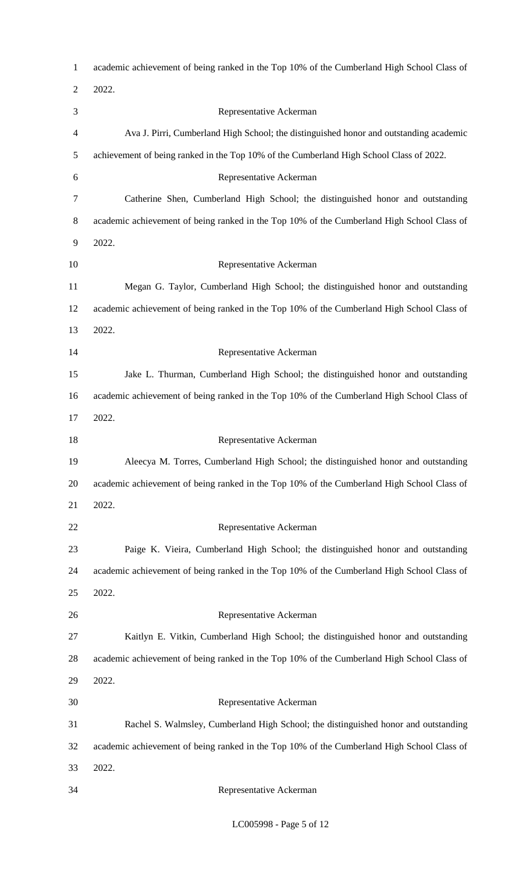| $\mathbf{1}$   | academic achievement of being ranked in the Top 10% of the Cumberland High School Class of |
|----------------|--------------------------------------------------------------------------------------------|
| $\overline{2}$ | 2022.                                                                                      |
| 3              | Representative Ackerman                                                                    |
| 4              | Ava J. Pirri, Cumberland High School; the distinguished honor and outstanding academic     |
| 5              | achievement of being ranked in the Top 10% of the Cumberland High School Class of 2022.    |
| 6              | Representative Ackerman                                                                    |
| 7              | Catherine Shen, Cumberland High School; the distinguished honor and outstanding            |
| 8              | academic achievement of being ranked in the Top 10% of the Cumberland High School Class of |
| 9              | 2022.                                                                                      |
| 10             | Representative Ackerman                                                                    |
| 11             | Megan G. Taylor, Cumberland High School; the distinguished honor and outstanding           |
| 12             | academic achievement of being ranked in the Top 10% of the Cumberland High School Class of |
| 13             | 2022.                                                                                      |
| 14             | Representative Ackerman                                                                    |
| 15             | Jake L. Thurman, Cumberland High School; the distinguished honor and outstanding           |
| 16             | academic achievement of being ranked in the Top 10% of the Cumberland High School Class of |
| 17             | 2022.                                                                                      |
| 18             | Representative Ackerman                                                                    |
| 19             | Aleecya M. Torres, Cumberland High School; the distinguished honor and outstanding         |
| 20             | academic achievement of being ranked in the Top 10% of the Cumberland High School Class of |
| 21             | 2022.                                                                                      |
| 22             | Representative Ackerman                                                                    |
| 23             | Paige K. Vieira, Cumberland High School; the distinguished honor and outstanding           |
| 24             | academic achievement of being ranked in the Top 10% of the Cumberland High School Class of |
| 25             | 2022.                                                                                      |
| 26             | Representative Ackerman                                                                    |
| 27             | Kaitlyn E. Vitkin, Cumberland High School; the distinguished honor and outstanding         |
| 28             | academic achievement of being ranked in the Top 10% of the Cumberland High School Class of |
| 29             | 2022.                                                                                      |
| 30             | Representative Ackerman                                                                    |
| 31             | Rachel S. Walmsley, Cumberland High School; the distinguished honor and outstanding        |
| 32             | academic achievement of being ranked in the Top 10% of the Cumberland High School Class of |
| 33             | 2022.                                                                                      |
| 34             | Representative Ackerman                                                                    |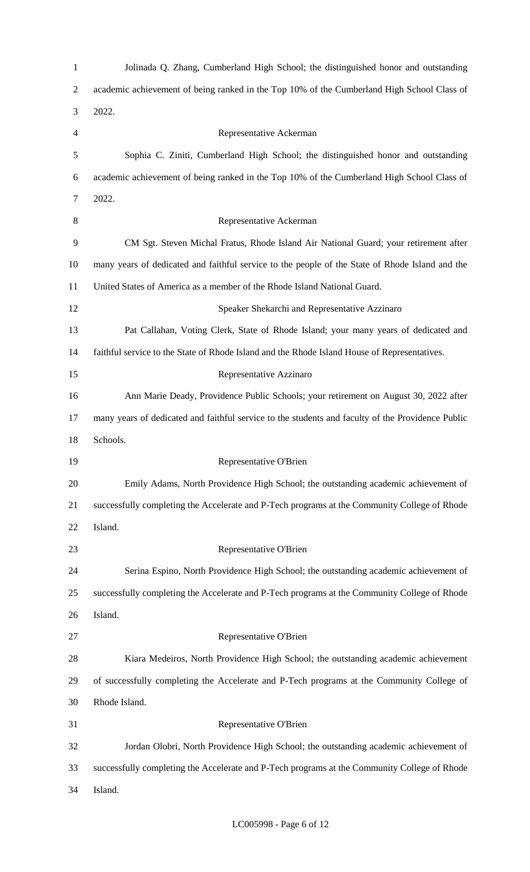| $\mathbf{1}$   | Jolinada Q. Zhang, Cumberland High School; the distinguished honor and outstanding                |
|----------------|---------------------------------------------------------------------------------------------------|
| $\overline{c}$ | academic achievement of being ranked in the Top 10% of the Cumberland High School Class of        |
| 3              | 2022.                                                                                             |
| 4              | Representative Ackerman                                                                           |
| 5              | Sophia C. Ziniti, Cumberland High School; the distinguished honor and outstanding                 |
| 6              | academic achievement of being ranked in the Top 10% of the Cumberland High School Class of        |
| 7              | 2022.                                                                                             |
| 8              | Representative Ackerman                                                                           |
| 9              | CM Sgt. Steven Michal Fratus, Rhode Island Air National Guard; your retirement after              |
| 10             | many years of dedicated and faithful service to the people of the State of Rhode Island and the   |
| 11             | United States of America as a member of the Rhode Island National Guard.                          |
| 12             | Speaker Shekarchi and Representative Azzinaro                                                     |
| 13             | Pat Callahan, Voting Clerk, State of Rhode Island; your many years of dedicated and               |
| 14             | faithful service to the State of Rhode Island and the Rhode Island House of Representatives.      |
| 15             | Representative Azzinaro                                                                           |
| 16             | Ann Marie Deady, Providence Public Schools; your retirement on August 30, 2022 after              |
| 17             | many years of dedicated and faithful service to the students and faculty of the Providence Public |
| 18             | Schools.                                                                                          |
| 19             | Representative O'Brien                                                                            |
| 20             | Emily Adams, North Providence High School; the outstanding academic achievement of                |
| 21             | successfully completing the Accelerate and P-Tech programs at the Community College of Rhode      |
| 22             | Island.                                                                                           |
| 23             | Representative O'Brien                                                                            |
| 24             | Serina Espino, North Providence High School; the outstanding academic achievement of              |
| 25             | successfully completing the Accelerate and P-Tech programs at the Community College of Rhode      |
| 26             | Island.                                                                                           |
| 27             | Representative O'Brien                                                                            |
| 28             | Kiara Medeiros, North Providence High School; the outstanding academic achievement                |
| 29             | of successfully completing the Accelerate and P-Tech programs at the Community College of         |
| 30             | Rhode Island.                                                                                     |
| 31             | Representative O'Brien                                                                            |
| 32             | Jordan Olobri, North Providence High School; the outstanding academic achievement of              |
| 33             | successfully completing the Accelerate and P-Tech programs at the Community College of Rhode      |
| 34             | Island.                                                                                           |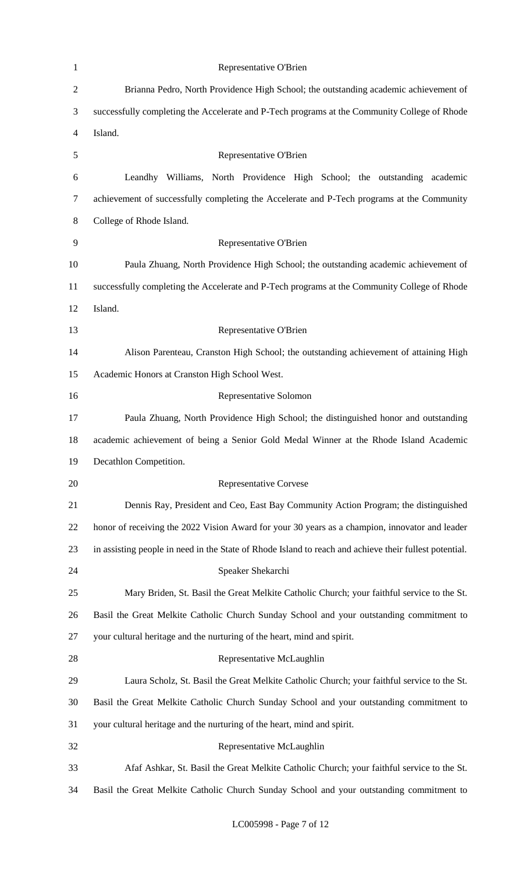| $\mathbf{1}$   | Representative O'Brien                                                                                 |
|----------------|--------------------------------------------------------------------------------------------------------|
| $\mathbf{2}$   | Brianna Pedro, North Providence High School; the outstanding academic achievement of                   |
| 3              | successfully completing the Accelerate and P-Tech programs at the Community College of Rhode           |
| $\overline{4}$ | Island.                                                                                                |
| 5              | Representative O'Brien                                                                                 |
| 6              | Leandhy Williams, North Providence High School; the outstanding academic                               |
| $\tau$         | achievement of successfully completing the Accelerate and P-Tech programs at the Community             |
| $8\,$          | College of Rhode Island.                                                                               |
| $\mathbf{9}$   | Representative O'Brien                                                                                 |
| 10             | Paula Zhuang, North Providence High School; the outstanding academic achievement of                    |
| 11             | successfully completing the Accelerate and P-Tech programs at the Community College of Rhode           |
| 12             | Island.                                                                                                |
| 13             | Representative O'Brien                                                                                 |
| 14             | Alison Parenteau, Cranston High School; the outstanding achievement of attaining High                  |
| 15             | Academic Honors at Cranston High School West.                                                          |
| 16             | Representative Solomon                                                                                 |
| 17             | Paula Zhuang, North Providence High School; the distinguished honor and outstanding                    |
| 18             | academic achievement of being a Senior Gold Medal Winner at the Rhode Island Academic                  |
| 19             | Decathlon Competition.                                                                                 |
| 20             | <b>Representative Corvese</b>                                                                          |
| 21             | Dennis Ray, President and Ceo, East Bay Community Action Program; the distinguished                    |
| 22             | honor of receiving the 2022 Vision Award for your 30 years as a champion, innovator and leader         |
| 23             | in assisting people in need in the State of Rhode Island to reach and achieve their fullest potential. |
| 24             | Speaker Shekarchi                                                                                      |
| 25             | Mary Briden, St. Basil the Great Melkite Catholic Church; your faithful service to the St.             |
| 26             | Basil the Great Melkite Catholic Church Sunday School and your outstanding commitment to               |
| 27             | your cultural heritage and the nurturing of the heart, mind and spirit.                                |
| 28             | Representative McLaughlin                                                                              |
| 29             | Laura Scholz, St. Basil the Great Melkite Catholic Church; your faithful service to the St.            |
| 30             | Basil the Great Melkite Catholic Church Sunday School and your outstanding commitment to               |
| 31             | your cultural heritage and the nurturing of the heart, mind and spirit.                                |
| 32             | Representative McLaughlin                                                                              |
| 33             | Afaf Ashkar, St. Basil the Great Melkite Catholic Church; your faithful service to the St.             |
| 34             | Basil the Great Melkite Catholic Church Sunday School and your outstanding commitment to               |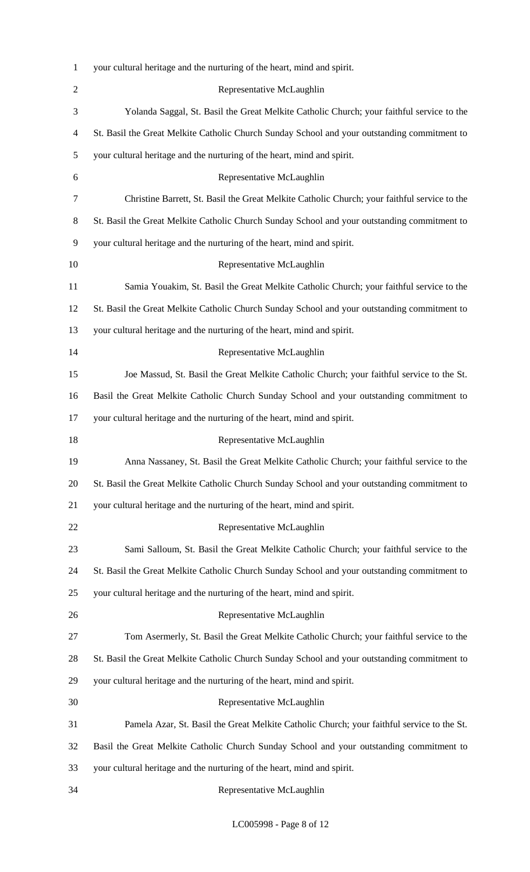| $\mathbf{1}$   | your cultural heritage and the nurturing of the heart, mind and spirit.                      |
|----------------|----------------------------------------------------------------------------------------------|
| $\overline{2}$ | Representative McLaughlin                                                                    |
| 3              | Yolanda Saggal, St. Basil the Great Melkite Catholic Church; your faithful service to the    |
| 4              | St. Basil the Great Melkite Catholic Church Sunday School and your outstanding commitment to |
| 5              | your cultural heritage and the nurturing of the heart, mind and spirit.                      |
| 6              | Representative McLaughlin                                                                    |
| 7              | Christine Barrett, St. Basil the Great Melkite Catholic Church; your faithful service to the |
| 8              | St. Basil the Great Melkite Catholic Church Sunday School and your outstanding commitment to |
| 9              | your cultural heritage and the nurturing of the heart, mind and spirit.                      |
| 10             | Representative McLaughlin                                                                    |
| 11             | Samia Youakim, St. Basil the Great Melkite Catholic Church; your faithful service to the     |
| 12             | St. Basil the Great Melkite Catholic Church Sunday School and your outstanding commitment to |
| 13             | your cultural heritage and the nurturing of the heart, mind and spirit.                      |
| 14             | Representative McLaughlin                                                                    |
| 15             | Joe Massud, St. Basil the Great Melkite Catholic Church; your faithful service to the St.    |
| 16             | Basil the Great Melkite Catholic Church Sunday School and your outstanding commitment to     |
| 17             | your cultural heritage and the nurturing of the heart, mind and spirit.                      |
| 18             | Representative McLaughlin                                                                    |
| 19             | Anna Nassaney, St. Basil the Great Melkite Catholic Church; your faithful service to the     |
| 20             | St. Basil the Great Melkite Catholic Church Sunday School and your outstanding commitment to |
| 21             | your cultural heritage and the nurturing of the heart, mind and spirit.                      |
| 22             | Representative McLaughlin                                                                    |
| 23             | Sami Salloum, St. Basil the Great Melkite Catholic Church; your faithful service to the      |
| 24             | St. Basil the Great Melkite Catholic Church Sunday School and your outstanding commitment to |
| 25             | your cultural heritage and the nurturing of the heart, mind and spirit.                      |
| 26             | Representative McLaughlin                                                                    |
| 27             | Tom Asermerly, St. Basil the Great Melkite Catholic Church; your faithful service to the     |
| 28             | St. Basil the Great Melkite Catholic Church Sunday School and your outstanding commitment to |
| 29             | your cultural heritage and the nurturing of the heart, mind and spirit.                      |
| 30             | Representative McLaughlin                                                                    |
| 31             | Pamela Azar, St. Basil the Great Melkite Catholic Church; your faithful service to the St.   |
| 32             | Basil the Great Melkite Catholic Church Sunday School and your outstanding commitment to     |
| 33             | your cultural heritage and the nurturing of the heart, mind and spirit.                      |
| 34             | Representative McLaughlin                                                                    |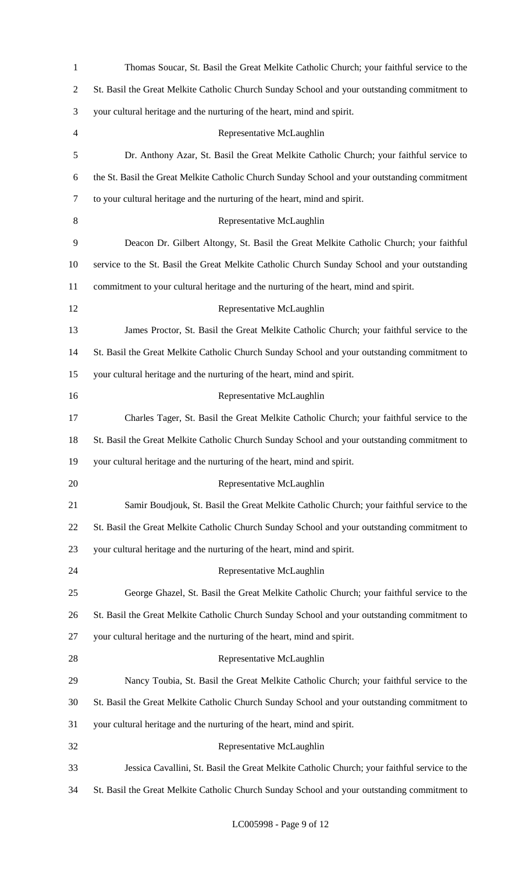| $\mathbf{1}$   | Thomas Soucar, St. Basil the Great Melkite Catholic Church; your faithful service to the      |
|----------------|-----------------------------------------------------------------------------------------------|
| $\overline{2}$ | St. Basil the Great Melkite Catholic Church Sunday School and your outstanding commitment to  |
| 3              | your cultural heritage and the nurturing of the heart, mind and spirit.                       |
| $\overline{4}$ | Representative McLaughlin                                                                     |
| 5              | Dr. Anthony Azar, St. Basil the Great Melkite Catholic Church; your faithful service to       |
| 6              | the St. Basil the Great Melkite Catholic Church Sunday School and your outstanding commitment |
| $\tau$         | to your cultural heritage and the nurturing of the heart, mind and spirit.                    |
| 8              | Representative McLaughlin                                                                     |
| 9              | Deacon Dr. Gilbert Altongy, St. Basil the Great Melkite Catholic Church; your faithful        |
| 10             | service to the St. Basil the Great Melkite Catholic Church Sunday School and your outstanding |
| 11             | commitment to your cultural heritage and the nurturing of the heart, mind and spirit.         |
| 12             | Representative McLaughlin                                                                     |
| 13             | James Proctor, St. Basil the Great Melkite Catholic Church; your faithful service to the      |
| 14             | St. Basil the Great Melkite Catholic Church Sunday School and your outstanding commitment to  |
| 15             | your cultural heritage and the nurturing of the heart, mind and spirit.                       |
| 16             | Representative McLaughlin                                                                     |
| 17             | Charles Tager, St. Basil the Great Melkite Catholic Church; your faithful service to the      |
| 18             | St. Basil the Great Melkite Catholic Church Sunday School and your outstanding commitment to  |
| 19             | your cultural heritage and the nurturing of the heart, mind and spirit.                       |
| 20             | Representative McLaughlin                                                                     |
| 21             | Samir Boudjouk, St. Basil the Great Melkite Catholic Church; your faithful service to the     |
| 22             | St. Basil the Great Melkite Catholic Church Sunday School and your outstanding commitment to  |
| 23             | your cultural heritage and the nurturing of the heart, mind and spirit.                       |
| 24             | Representative McLaughlin                                                                     |
| 25             | George Ghazel, St. Basil the Great Melkite Catholic Church; your faithful service to the      |
| 26             | St. Basil the Great Melkite Catholic Church Sunday School and your outstanding commitment to  |
| 27             | your cultural heritage and the nurturing of the heart, mind and spirit.                       |
| 28             | Representative McLaughlin                                                                     |
| 29             | Nancy Toubia, St. Basil the Great Melkite Catholic Church; your faithful service to the       |
| 30             | St. Basil the Great Melkite Catholic Church Sunday School and your outstanding commitment to  |
| 31             | your cultural heritage and the nurturing of the heart, mind and spirit.                       |
| 32             | Representative McLaughlin                                                                     |
| 33             | Jessica Cavallini, St. Basil the Great Melkite Catholic Church; your faithful service to the  |
| 34             | St. Basil the Great Melkite Catholic Church Sunday School and your outstanding commitment to  |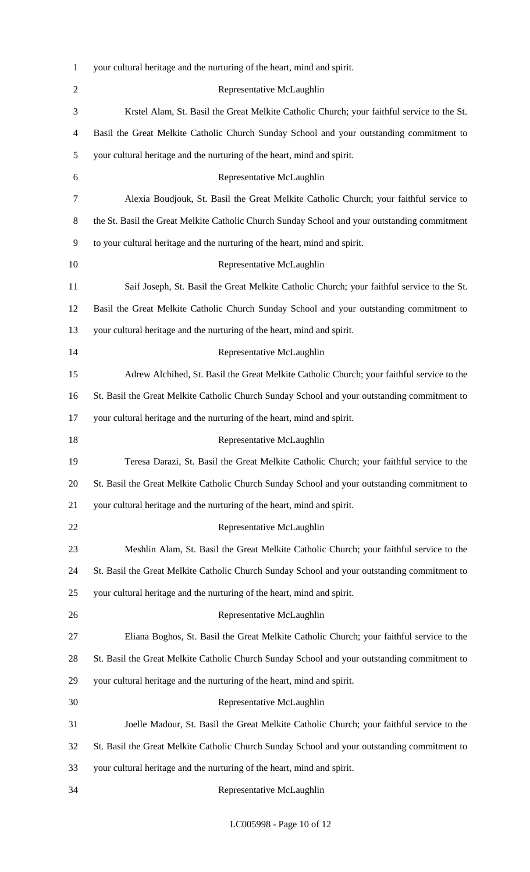| $\mathbf{1}$   | your cultural heritage and the nurturing of the heart, mind and spirit.                       |
|----------------|-----------------------------------------------------------------------------------------------|
| $\overline{2}$ | Representative McLaughlin                                                                     |
| 3              | Krstel Alam, St. Basil the Great Melkite Catholic Church; your faithful service to the St.    |
| 4              | Basil the Great Melkite Catholic Church Sunday School and your outstanding commitment to      |
| 5              | your cultural heritage and the nurturing of the heart, mind and spirit.                       |
| 6              | Representative McLaughlin                                                                     |
| 7              | Alexia Boudjouk, St. Basil the Great Melkite Catholic Church; your faithful service to        |
| 8              | the St. Basil the Great Melkite Catholic Church Sunday School and your outstanding commitment |
| 9              | to your cultural heritage and the nurturing of the heart, mind and spirit.                    |
| 10             | Representative McLaughlin                                                                     |
| 11             | Saif Joseph, St. Basil the Great Melkite Catholic Church; your faithful service to the St.    |
| 12             | Basil the Great Melkite Catholic Church Sunday School and your outstanding commitment to      |
| 13             | your cultural heritage and the nurturing of the heart, mind and spirit.                       |
| 14             | Representative McLaughlin                                                                     |
| 15             | Adrew Alchihed, St. Basil the Great Melkite Catholic Church; your faithful service to the     |
| 16             | St. Basil the Great Melkite Catholic Church Sunday School and your outstanding commitment to  |
| 17             | your cultural heritage and the nurturing of the heart, mind and spirit.                       |
| 18             | Representative McLaughlin                                                                     |
| 19             | Teresa Darazi, St. Basil the Great Melkite Catholic Church; your faithful service to the      |
| 20             | St. Basil the Great Melkite Catholic Church Sunday School and your outstanding commitment to  |
| 21             | your cultural heritage and the nurturing of the heart, mind and spirit.                       |
| 22             | Representative McLaughlin                                                                     |
| 23             | Meshlin Alam, St. Basil the Great Melkite Catholic Church; your faithful service to the       |
| 24             | St. Basil the Great Melkite Catholic Church Sunday School and your outstanding commitment to  |
| 25             | your cultural heritage and the nurturing of the heart, mind and spirit.                       |
| 26             | Representative McLaughlin                                                                     |
| 27             | Eliana Boghos, St. Basil the Great Melkite Catholic Church; your faithful service to the      |
| 28             | St. Basil the Great Melkite Catholic Church Sunday School and your outstanding commitment to  |
| 29             | your cultural heritage and the nurturing of the heart, mind and spirit.                       |
| 30             | Representative McLaughlin                                                                     |
| 31             | Joelle Madour, St. Basil the Great Melkite Catholic Church; your faithful service to the      |
| 32             | St. Basil the Great Melkite Catholic Church Sunday School and your outstanding commitment to  |
| 33             | your cultural heritage and the nurturing of the heart, mind and spirit.                       |
| 34             | Representative McLaughlin                                                                     |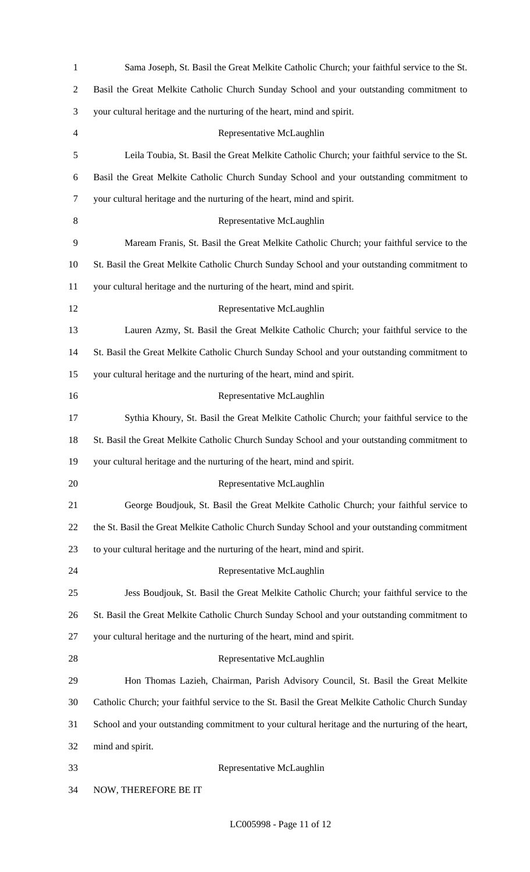| $\mathbf{1}$   | Sama Joseph, St. Basil the Great Melkite Catholic Church; your faithful service to the St.       |
|----------------|--------------------------------------------------------------------------------------------------|
| $\overline{c}$ | Basil the Great Melkite Catholic Church Sunday School and your outstanding commitment to         |
| 3              | your cultural heritage and the nurturing of the heart, mind and spirit.                          |
| 4              | Representative McLaughlin                                                                        |
| 5              | Leila Toubia, St. Basil the Great Melkite Catholic Church; your faithful service to the St.      |
| 6              | Basil the Great Melkite Catholic Church Sunday School and your outstanding commitment to         |
| 7              | your cultural heritage and the nurturing of the heart, mind and spirit.                          |
| 8              | Representative McLaughlin                                                                        |
| 9              | Maream Franis, St. Basil the Great Melkite Catholic Church; your faithful service to the         |
| 10             | St. Basil the Great Melkite Catholic Church Sunday School and your outstanding commitment to     |
| 11             | your cultural heritage and the nurturing of the heart, mind and spirit.                          |
| 12             | Representative McLaughlin                                                                        |
| 13             | Lauren Azmy, St. Basil the Great Melkite Catholic Church; your faithful service to the           |
| 14             | St. Basil the Great Melkite Catholic Church Sunday School and your outstanding commitment to     |
| 15             | your cultural heritage and the nurturing of the heart, mind and spirit.                          |
| 16             | Representative McLaughlin                                                                        |
| 17             | Sythia Khoury, St. Basil the Great Melkite Catholic Church; your faithful service to the         |
| 18             | St. Basil the Great Melkite Catholic Church Sunday School and your outstanding commitment to     |
| 19             | your cultural heritage and the nurturing of the heart, mind and spirit.                          |
| 20             | Representative McLaughlin                                                                        |
| 21             | George Boudjouk, St. Basil the Great Melkite Catholic Church; your faithful service to           |
| 22             | the St. Basil the Great Melkite Catholic Church Sunday School and your outstanding commitment    |
| 23             | to your cultural heritage and the nurturing of the heart, mind and spirit.                       |
| 24             | Representative McLaughlin                                                                        |
| 25             | Jess Boudjouk, St. Basil the Great Melkite Catholic Church; your faithful service to the         |
| 26             | St. Basil the Great Melkite Catholic Church Sunday School and your outstanding commitment to     |
| 27             | your cultural heritage and the nurturing of the heart, mind and spirit.                          |
| 28             | Representative McLaughlin                                                                        |
| 29             | Hon Thomas Lazieh, Chairman, Parish Advisory Council, St. Basil the Great Melkite                |
| 30             | Catholic Church; your faithful service to the St. Basil the Great Melkite Catholic Church Sunday |
| 31             | School and your outstanding commitment to your cultural heritage and the nurturing of the heart, |
| 32             | mind and spirit.                                                                                 |
| 33             | Representative McLaughlin                                                                        |
| 34             | NOW, THEREFORE BE IT                                                                             |